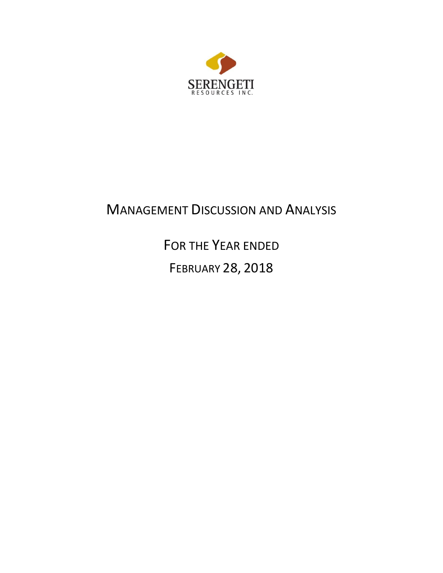

# MANAGEMENT DISCUSSION AND ANALYSIS

FOR THE YEAR ENDED

FEBRUARY 28, 2018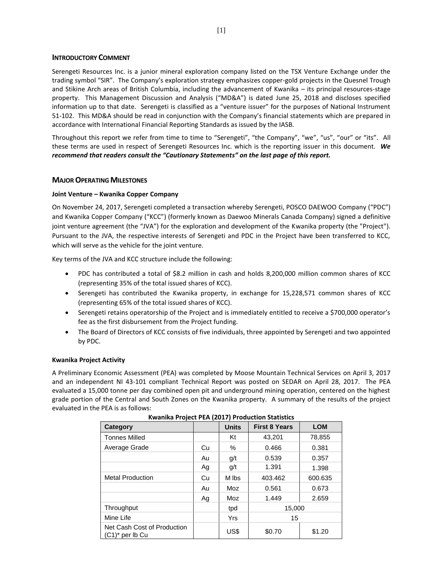## **INTRODUCTORY COMMENT**

Serengeti Resources Inc. is a junior mineral exploration company listed on the TSX Venture Exchange under the trading symbol "SIR". The Company's exploration strategy emphasizes copper-gold projects in the Quesnel Trough and Stikine Arch areas of British Columbia, including the advancement of Kwanika – its principal resources-stage property. This Management Discussion and Analysis ("MD&A") is dated June 25, 2018 and discloses specified information up to that date. Serengeti is classified as a "venture issuer" for the purposes of National Instrument 51-102. This MD&A should be read in conjunction with the Company's financial statements which are prepared in accordance with International Financial Reporting Standards as issued by the IASB.

Throughout this report we refer from time to time to "Serengeti", "the Company", "we", "us", "our" or "its". All these terms are used in respect of Serengeti Resources Inc. which is the reporting issuer in this document. *We recommend that readers consult the "Cautionary Statements" on the last page of this report.*

# **MAJOR OPERATING MILESTONES**

# **Joint Venture – Kwanika Copper Company**

On November 24, 2017, Serengeti completed a transaction whereby Serengeti, POSCO DAEWOO Company ("PDC") and Kwanika Copper Company ("KCC") (formerly known as Daewoo Minerals Canada Company) signed a definitive joint venture agreement (the "JVA") for the exploration and development of the Kwanika property (the "Project"). Pursuant to the JVA, the respective interests of Serengeti and PDC in the Project have been transferred to KCC, which will serve as the vehicle for the joint venture.

Key terms of the JVA and KCC structure include the following:

- PDC has contributed a total of \$8.2 million in cash and holds 8,200,000 million common shares of KCC (representing 35% of the total issued shares of KCC).
- Serengeti has contributed the Kwanika property, in exchange for 15,228,571 common shares of KCC (representing 65% of the total issued shares of KCC).
- Serengeti retains operatorship of the Project and is immediately entitled to receive a \$700,000 operator's fee as the first disbursement from the Project funding.
- The Board of Directors of KCC consists of five individuals, three appointed by Serengeti and two appointed by PDC.

#### **Kwanika Project Activity**

A Preliminary Economic Assessment (PEA) was completed by Moose Mountain Technical Services on April 3, 2017 and an independent NI 43-101 compliant Technical Report was posted on SEDAR on April 28, 2017. The PEA evaluated a 15,000 tonne per day combined open pit and underground mining operation, centered on the highest grade portion of the Central and South Zones on the Kwanika property. A summary of the results of the project evaluated in the PEA is as follows:

| Category                                          |    | <b>Units</b> | <b>First 8 Years</b> | <b>LOM</b> |  |
|---------------------------------------------------|----|--------------|----------------------|------------|--|
| <b>Tonnes Milled</b>                              |    | Kt           | 43,201               | 78,855     |  |
| Average Grade                                     | Cu | %            | 0.466                | 0.381      |  |
|                                                   | Au | q/t          | 0.539                | 0.357      |  |
|                                                   | Ag | g/t          | 1.391                | 1.398      |  |
| <b>Metal Production</b>                           | Cu | M lbs        | 403.462              | 600.635    |  |
|                                                   | Au | Moz          | 0.561                | 0.673      |  |
|                                                   | Ag | Moz          | 1.449                | 2.659      |  |
| Throughput                                        |    | tpd          | 15,000               |            |  |
| Mine Life                                         |    | Yrs          | 15                   |            |  |
| Net Cash Cost of Production<br>$(C1)^*$ per lb Cu |    | US\$         | \$0.70               | \$1.20     |  |

| Kwanika Project PEA (2017) Production Statistics |  |
|--------------------------------------------------|--|
|--------------------------------------------------|--|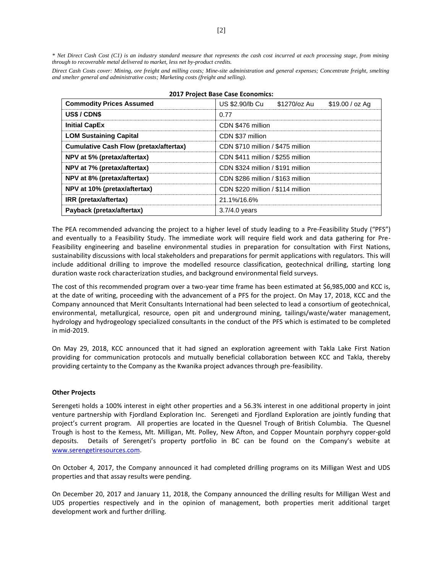*\* Net Direct Cash Cost (C1) is an industry standard measure that represents the cash cost incurred at each processing stage, from mining through to recoverable metal delivered to market, less net by-product credits.* 

*Direct Cash Costs cover: Mining, ore freight and milling costs; Mine-site administration and general expenses; Concentrate freight, smelting and smelter general and administrative costs; Marketing costs (freight and selling).*

| <b>Commodity Prices Assumed</b>               | US \$2.90/lb Cu<br>\$1270/oz Au<br>\$19.00 / oz Ag |  |  |  |  |  |
|-----------------------------------------------|----------------------------------------------------|--|--|--|--|--|
| US\$/CDN\$                                    | 0.77                                               |  |  |  |  |  |
| <b>Initial CapEx</b>                          | CDN \$476 million                                  |  |  |  |  |  |
| <b>LOM Sustaining Capital</b>                 | CDN \$37 million                                   |  |  |  |  |  |
| <b>Cumulative Cash Flow (pretax/aftertax)</b> | CDN \$710 million / \$475 million                  |  |  |  |  |  |
| NPV at 5% (pretax/aftertax)                   | CDN \$411 million / \$255 million                  |  |  |  |  |  |
| NPV at 7% (pretax/aftertax)                   | CDN \$324 million / \$191 million                  |  |  |  |  |  |
| NPV at 8% (pretax/aftertax)                   | CDN \$286 million / \$163 million                  |  |  |  |  |  |
| NPV at 10% (pretax/aftertax)                  | CDN \$220 million / \$114 million                  |  |  |  |  |  |
| IRR (pretax/aftertax)                         | 21.1%/16.6%                                        |  |  |  |  |  |
| Payback (pretax/aftertax)                     | $3.7/4.0$ years                                    |  |  |  |  |  |

**2017 Project Base Case Economics:**

The PEA recommended advancing the project to a higher level of study leading to a Pre-Feasibility Study ("PFS") and eventually to a Feasibility Study. The immediate work will require field work and data gathering for Pre-Feasibility engineering and baseline environmental studies in preparation for consultation with First Nations, sustainability discussions with local stakeholders and preparations for permit applications with regulators. This will include additional drilling to improve the modelled resource classification, geotechnical drilling, starting long duration waste rock characterization studies, and background environmental field surveys.

The cost of this recommended program over a two-year time frame has been estimated at \$6,985,000 and KCC is, at the date of writing, proceeding with the advancement of a PFS for the project. On May 17, 2018, KCC and the Company announced that Merit Consultants International had been selected to lead a consortium of geotechnical, environmental, metallurgical, resource, open pit and underground mining, tailings/waste/water management, hydrology and hydrogeology specialized consultants in the conduct of the PFS which is estimated to be completed in mid-2019.

On May 29, 2018, KCC announced that it had signed an exploration agreement with Takla Lake First Nation providing for communication protocols and mutually beneficial collaboration between KCC and Takla, thereby providing certainty to the Company as the Kwanika project advances through pre-feasibility.

#### **Other Projects**

Serengeti holds a 100% interest in eight other properties and a 56.3% interest in one additional property in joint venture partnership with Fjordland Exploration Inc. Serengeti and Fjordland Exploration are jointly funding that project's current program. All properties are located in the Quesnel Trough of British Columbia. The Quesnel Trough is host to the Kemess, Mt. Milligan, Mt. Polley, New Afton, and Copper Mountain porphyry copper-gold deposits. Details of Serengeti's property portfolio in BC can be found on the Company's website at [www.serengetiresources.com.](http://www.serengetiresources.com/)

On October 4, 2017, the Company announced it had completed drilling programs on its Milligan West and UDS properties and that assay results were pending.

On December 20, 2017 and January 11, 2018, the Company announced the drilling results for Milligan West and UDS properties respectively and in the opinion of management, both properties merit additional target development work and further drilling.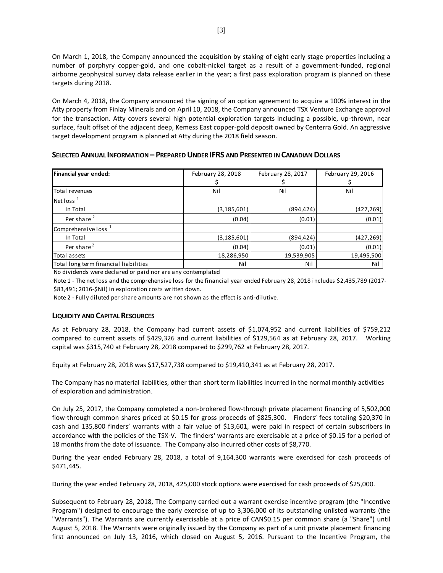On March 1, 2018, the Company announced the acquisition by staking of eight early stage properties including a number of porphyry copper-gold, and one cobalt-nickel target as a result of a government-funded, regional airborne geophysical survey data release earlier in the year; a first pass exploration program is planned on these targets during 2018.

On March 4, 2018, the Company announced the signing of an option agreement to acquire a 100% interest in the Atty property from Finlay Minerals and on April 10, 2018, the Company announced TSX Venture Exchange approval for the transaction. Atty covers several high potential exploration targets including a possible, up-thrown, near surface, fault offset of the adjacent deep, Kemess East copper-gold deposit owned by Centerra Gold. An aggressive target development program is planned at Atty during the 2018 field season.

**SELECTED ANNUAL INFORMATION – PREPARED UNDER IFRS AND PRESENTED IN CANADIAN DOLLARS**

| Financial year ended:                 | February 28, 2018 | February 28, 2017 | February 29, 2016 |
|---------------------------------------|-------------------|-------------------|-------------------|
| Total revenues                        | Nil               | Nil               | Nil               |
| Net loss $1$                          |                   |                   |                   |
| In Total                              | (3, 185, 601)     | (894,424)         | (427,269)         |
| Per share <sup>2</sup>                | (0.04)            | (0.01)            | (0.01)            |
| Comprehensive loss <sup>1</sup>       |                   |                   |                   |
| In Total                              | (3, 185, 601)     | (894,424)         | (427,269)         |
| Per share <sup>2</sup>                | (0.04)            | (0.01)            | (0.01)            |
| Total assets                          | 18,286,950        | 19,539,905        | 19,495,500        |
| Total long term financial liabilities | Nil               | Nil               | Nil               |

No dividends were declared or paid nor are any contemplated

Note 1 - The net loss and the comprehensive loss for the financial year ended February 28, 2018 includes \$2,435,789 (2017- \$83,491; 2016-\$Nil) in exploration costs written down.

Note 2 - Fully diluted per share amounts are not shown as the effect is anti-dilutive.

# **LIQUIDITY AND CAPITAL RESOURCES**

As at February 28, 2018, the Company had current assets of \$1,074,952 and current liabilities of \$759,212 compared to current assets of \$429,326 and current liabilities of \$129,564 as at February 28, 2017. Working capital was \$315,740 at February 28, 2018 compared to \$299,762 at February 28, 2017.

Equity at February 28, 2018 was \$17,527,738 compared to \$19,410,341 as at February 28, 2017.

The Company has no material liabilities, other than short term liabilities incurred in the normal monthly activities of exploration and administration.

On July 25, 2017, the Company completed a non-brokered flow-through private placement financing of 5,502,000 flow-through common shares priced at \$0.15 for gross proceeds of \$825,300. Finders' fees totaling \$20,370 in cash and 135,800 finders' warrants with a fair value of \$13,601, were paid in respect of certain subscribers in accordance with the policies of the TSX-V. The finders' warrants are exercisable at a price of \$0.15 for a period of 18 months from the date of issuance. The Company also incurred other costs of \$8,770.

During the year ended February 28, 2018, a total of 9,164,300 warrants were exercised for cash proceeds of \$471,445.

During the year ended February 28, 2018, 425,000 stock options were exercised for cash proceeds of \$25,000.

Subsequent to February 28, 2018, The Company carried out a warrant exercise incentive program (the "Incentive Program") designed to encourage the early exercise of up to 3,306,000 of its outstanding unlisted warrants (the "Warrants"). The Warrants are currently exercisable at a price of CAN\$0.15 per common share (a "Share") until August 5, 2018. The Warrants were originally issued by the Company as part of a unit private placement financing first announced on July 13, 2016, which closed on August 5, 2016. Pursuant to the Incentive Program, the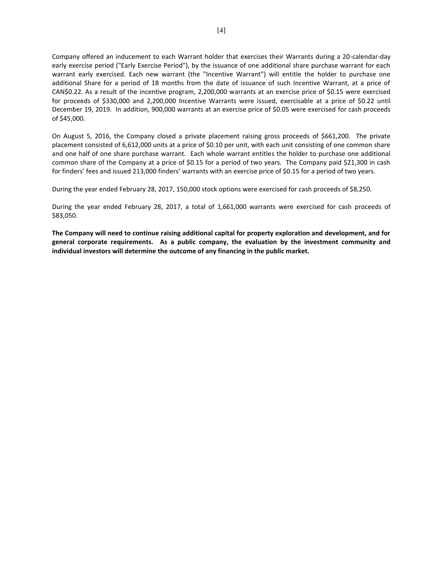Company offered an inducement to each Warrant holder that exercises their Warrants during a 20-calendar-day early exercise period ("Early Exercise Period"), by the issuance of one additional share purchase warrant for each warrant early exercised. Each new warrant (the "Incentive Warrant") will entitle the holder to purchase one additional Share for a period of 18 months from the date of issuance of such Incentive Warrant, at a price of CAN\$0.22. As a result of the incentive program, 2,200,000 warrants at an exercise price of \$0.15 were exercised for proceeds of \$330,000 and 2,200,000 Incentive Warrants were issued, exercisable at a price of \$0.22 until December 19, 2019. In addition, 900,000 warrants at an exercise price of \$0.05 were exercised for cash proceeds of \$45,000.

On August 5, 2016, the Company closed a private placement raising gross proceeds of \$661,200. The private placement consisted of 6,612,000 units at a price of \$0.10 per unit, with each unit consisting of one common share and one half of one share purchase warrant. Each whole warrant entitles the holder to purchase one additional common share of the Company at a price of \$0.15 for a period of two years. The Company paid \$21,300 in cash for finders' fees and issued 213,000 finders' warrants with an exercise price of \$0.15 for a period of two years.

During the year ended February 28, 2017, 150,000 stock options were exercised for cash proceeds of \$8,250.

During the year ended February 28, 2017, a total of 1,661,000 warrants were exercised for cash proceeds of \$83,050.

**The Company will need to continue raising additional capital for property exploration and development, and for general corporate requirements. As a public company, the evaluation by the investment community and individual investors will determine the outcome of any financing in the public market.**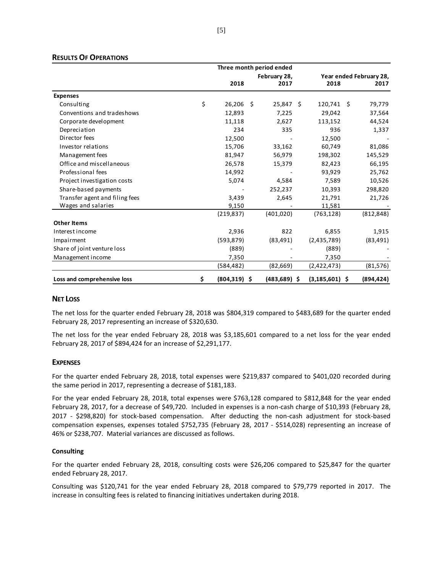## **RESULTS OF OPERATIONS**

|                                | Three month period ended |      |                 |                         |  |            |
|--------------------------------|--------------------------|------|-----------------|-------------------------|--|------------|
|                                | February 28,             |      |                 | Year ended February 28, |  |            |
|                                | 2018                     |      | 2017            | 2018                    |  | 2017       |
| <b>Expenses</b>                |                          |      |                 |                         |  |            |
| Consulting                     | \$<br>26,206             | - \$ | 25,847 \$       | $120,741 \quad$ \$      |  | 79,779     |
| Conventions and tradeshows     | 12,893                   |      | 7,225           | 29,042                  |  | 37,564     |
| Corporate development          | 11,118                   |      | 2,627           | 113,152                 |  | 44,524     |
| Depreciation                   | 234                      |      | 335             | 936                     |  | 1,337      |
| Director fees                  | 12,500                   |      |                 | 12,500                  |  |            |
| Investor relations             | 15,706                   |      | 33,162          | 60,749                  |  | 81,086     |
| Management fees                | 81,947                   |      | 56,979          | 198,302                 |  | 145,529    |
| Office and miscellaneous       | 26,578                   |      | 15,379          | 82,423                  |  | 66,195     |
| Professional fees              | 14,992                   |      |                 | 93,929                  |  | 25,762     |
| Project investigation costs    | 5,074                    |      | 4,584           | 7,589                   |  | 10,526     |
| Share-based payments           |                          |      | 252,237         | 10,393                  |  | 298,820    |
| Transfer agent and filing fees | 3,439                    |      | 2,645           | 21,791                  |  | 21,726     |
| Wages and salaries             | 9,150                    |      |                 | 11,581                  |  |            |
|                                | (219, 837)               |      | (401, 020)      | (763, 128)              |  | (812, 848) |
| <b>Other Items</b>             |                          |      |                 |                         |  |            |
| Interest income                | 2,936                    |      | 822             | 6,855                   |  | 1,915      |
| Impairment                     | (593, 879)               |      | (83, 491)       | (2,435,789)             |  | (83, 491)  |
| Share of joint venture loss    | (889)                    |      |                 | (889)                   |  |            |
| Management income              | 7,350                    |      |                 | 7,350                   |  |            |
|                                | (584,482)                |      | (82, 669)       | (2,422,473)             |  | (81, 576)  |
| Loss and comprehensive loss    | \$<br>$(804, 319)$ \$    |      | $(483, 689)$ \$ | $(3, 185, 601)$ \$      |  | (894, 424) |

# **NET LOSS**

The net loss for the quarter ended February 28, 2018 was \$804,319 compared to \$483,689 for the quarter ended February 28, 2017 representing an increase of \$320,630.

The net loss for the year ended February 28, 2018 was \$3,185,601 compared to a net loss for the year ended February 28, 2017 of \$894,424 for an increase of \$2,291,177.

#### **EXPENSES**

For the quarter ended February 28, 2018, total expenses were \$219,837 compared to \$401,020 recorded during the same period in 2017, representing a decrease of \$181,183.

For the year ended February 28, 2018, total expenses were \$763,128 compared to \$812,848 for the year ended February 28, 2017, for a decrease of \$49,720. Included in expenses is a non-cash charge of \$10,393 (February 28, 2017 - \$298,820) for stock-based compensation. After deducting the non-cash adjustment for stock-based compensation expenses, expenses totaled \$752,735 (February 28, 2017 - \$514,028) representing an increase of 46% or \$238,707. Material variances are discussed as follows.

#### **Consulting**

For the quarter ended February 28, 2018, consulting costs were \$26,206 compared to \$25,847 for the quarter ended February 28, 2017.

Consulting was \$120,741 for the year ended February 28, 2018 compared to \$79,779 reported in 2017. The increase in consulting fees is related to financing initiatives undertaken during 2018.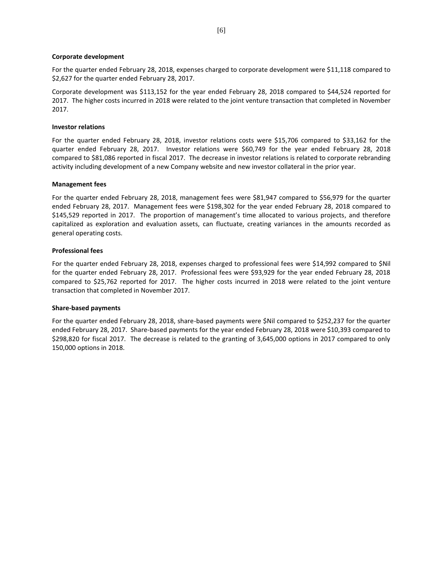#### **Corporate development**

For the quarter ended February 28, 2018, expenses charged to corporate development were \$11,118 compared to \$2,627 for the quarter ended February 28, 2017.

Corporate development was \$113,152 for the year ended February 28, 2018 compared to \$44,524 reported for 2017. The higher costs incurred in 2018 were related to the joint venture transaction that completed in November 2017.

#### **Investor relations**

For the quarter ended February 28, 2018, investor relations costs were \$15,706 compared to \$33,162 for the quarter ended February 28, 2017. Investor relations were \$60,749 for the year ended February 28, 2018 compared to \$81,086 reported in fiscal 2017. The decrease in investor relations is related to corporate rebranding activity including development of a new Company website and new investor collateral in the prior year.

#### **Management fees**

For the quarter ended February 28, 2018, management fees were \$81,947 compared to \$56,979 for the quarter ended February 28, 2017. Management fees were \$198,302 for the year ended February 28, 2018 compared to \$145,529 reported in 2017. The proportion of management's time allocated to various projects, and therefore capitalized as exploration and evaluation assets, can fluctuate, creating variances in the amounts recorded as general operating costs.

#### **Professional fees**

For the quarter ended February 28, 2018, expenses charged to professional fees were \$14,992 compared to \$Nil for the quarter ended February 28, 2017. Professional fees were \$93,929 for the year ended February 28, 2018 compared to \$25,762 reported for 2017. The higher costs incurred in 2018 were related to the joint venture transaction that completed in November 2017.

#### **Share-based payments**

For the quarter ended February 28, 2018, share-based payments were \$Nil compared to \$252,237 for the quarter ended February 28, 2017. Share-based payments for the year ended February 28, 2018 were \$10,393 compared to \$298,820 for fiscal 2017. The decrease is related to the granting of 3,645,000 options in 2017 compared to only 150,000 options in 2018.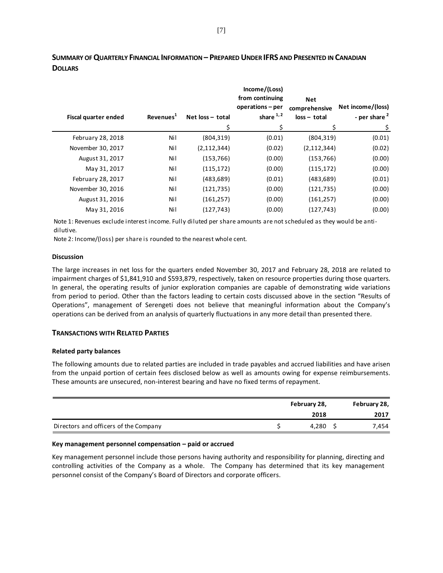| Fiscal quarter ended | Revenues <sup>1</sup> | Net loss - total | Income/(Loss)<br>from continuing<br>operations – per<br>share $1, 2$ | <b>Net</b><br>comprehensive<br>$loss - total$ | Net income/(loss)<br>- per share $^2$ |
|----------------------|-----------------------|------------------|----------------------------------------------------------------------|-----------------------------------------------|---------------------------------------|
|                      |                       | \$               | \$                                                                   |                                               | \$.                                   |
| February 28, 2018    | Nil                   | (804, 319)       | (0.01)                                                               | (804, 319)                                    | (0.01)                                |
| November 30, 2017    | Nil                   | (2, 112, 344)    | (0.02)                                                               | (2, 112, 344)                                 | (0.02)                                |
| August 31, 2017      | Nil                   | (153, 766)       | (0.00)                                                               | (153, 766)                                    | (0.00)                                |
| May 31, 2017         | Nil                   | (115, 172)       | (0.00)                                                               | (115, 172)                                    | (0.00)                                |
| February 28, 2017    | Nil                   | (483, 689)       | (0.01)                                                               | (483, 689)                                    | (0.01)                                |
| November 30, 2016    | Nil                   | (121, 735)       | (0.00)                                                               | (121, 735)                                    | (0.00)                                |
| August 31, 2016      | Nil                   | (161, 257)       | (0.00)                                                               | (161, 257)                                    | (0.00)                                |
| May 31, 2016         | Nil                   | (127, 743)       | (0.00)                                                               | (127, 743)                                    | (0.00)                                |
|                      |                       |                  |                                                                      |                                               |                                       |

# **SUMMARY OF QUARTERLY FINANCIAL INFORMATION – PREPARED UNDER IFRS AND PRESENTED IN CANADIAN DOLLARS**

Note 1: Revenues exclude interest income. Fully diluted per share amounts are not scheduled as they would be antidilutive.

Note 2: Income/(loss) per share is rounded to the nearest whole cent.

#### **Discussion**

The large increases in net loss for the quarters ended November 30, 2017 and February 28, 2018 are related to impairment charges of \$1,841,910 and \$593,879, respectively, taken on resource properties during those quarters. In general, the operating results of junior exploration companies are capable of demonstrating wide variations from period to period. Other than the factors leading to certain costs discussed above in the section "Results of Operations", management of Serengeti does not believe that meaningful information about the Company's operations can be derived from an analysis of quarterly fluctuations in any more detail than presented there.

#### **TRANSACTIONS WITH RELATED PARTIES**

#### **Related party balances**

The following amounts due to related parties are included in trade payables and accrued liabilities and have arisen from the unpaid portion of certain fees disclosed below as well as amounts owing for expense reimbursements. These amounts are unsecured, non-interest bearing and have no fixed terms of repayment.

|                                       | February 28, | February 28, |
|---------------------------------------|--------------|--------------|
|                                       | 2018         | 2017         |
| Directors and officers of the Company | 4.280        | 7,454        |

#### **Key management personnel compensation – paid or accrued**

Key management personnel include those persons having authority and responsibility for planning, directing and controlling activities of the Company as a whole. The Company has determined that its key management personnel consist of the Company's Board of Directors and corporate officers.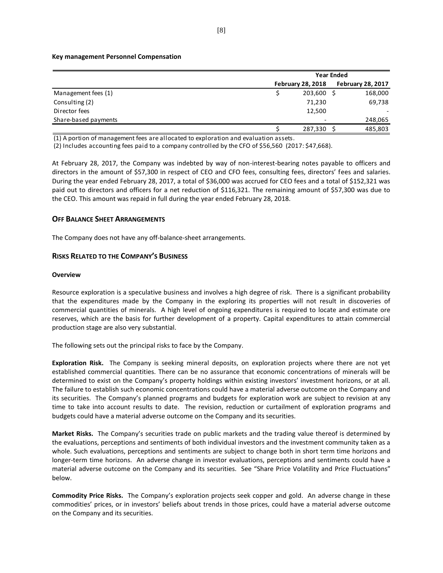#### **Key management Personnel Compensation**

|                      | <b>Year Ended</b>        |                          |  |  |  |
|----------------------|--------------------------|--------------------------|--|--|--|
|                      | <b>February 28, 2018</b> | <b>February 28, 2017</b> |  |  |  |
| Management fees (1)  | 203,600                  | 168,000                  |  |  |  |
| Consulting (2)       | 71,230                   | 69,738                   |  |  |  |
| Director fees        | 12,500                   |                          |  |  |  |
| Share-based payments |                          | 248,065                  |  |  |  |
|                      | 287,330                  | 485,803                  |  |  |  |

(1) A portion of management fees are allocated to exploration and evaluation assets.

(2) Includes accounting fees paid to a company controlled by the CFO of \$56,560 (2017: \$47,668).

At February 28, 2017, the Company was indebted by way of non-interest-bearing notes payable to officers and directors in the amount of \$57,300 in respect of CEO and CFO fees, consulting fees, directors' fees and salaries. During the year ended February 28, 2017, a total of \$36,000 was accrued for CEO fees and a total of \$152,321 was paid out to directors and officers for a net reduction of \$116,321. The remaining amount of \$57,300 was due to the CEO. This amount was repaid in full during the year ended February 28, 2018.

#### **OFF BALANCE SHEET ARRANGEMENTS**

The Company does not have any off-balance-sheet arrangements.

#### **RISKS RELATED TO THE COMPANY'S BUSINESS**

#### **Overview**

Resource exploration is a speculative business and involves a high degree of risk. There is a significant probability that the expenditures made by the Company in the exploring its properties will not result in discoveries of commercial quantities of minerals. A high level of ongoing expenditures is required to locate and estimate ore reserves, which are the basis for further development of a property. Capital expenditures to attain commercial production stage are also very substantial.

The following sets out the principal risks to face by the Company.

**Exploration Risk.** The Company is seeking mineral deposits, on exploration projects where there are not yet established commercial quantities. There can be no assurance that economic concentrations of minerals will be determined to exist on the Company's property holdings within existing investors' investment horizons, or at all. The failure to establish such economic concentrations could have a material adverse outcome on the Company and its securities. The Company's planned programs and budgets for exploration work are subject to revision at any time to take into account results to date. The revision, reduction or curtailment of exploration programs and budgets could have a material adverse outcome on the Company and its securities.

**Market Risks.** The Company's securities trade on public markets and the trading value thereof is determined by the evaluations, perceptions and sentiments of both individual investors and the investment community taken as a whole. Such evaluations, perceptions and sentiments are subject to change both in short term time horizons and longer-term time horizons. An adverse change in investor evaluations, perceptions and sentiments could have a material adverse outcome on the Company and its securities. See "Share Price Volatility and Price Fluctuations" below.

**Commodity Price Risks.** The Company's exploration projects seek copper and gold. An adverse change in these commodities' prices, or in investors' beliefs about trends in those prices, could have a material adverse outcome on the Company and its securities.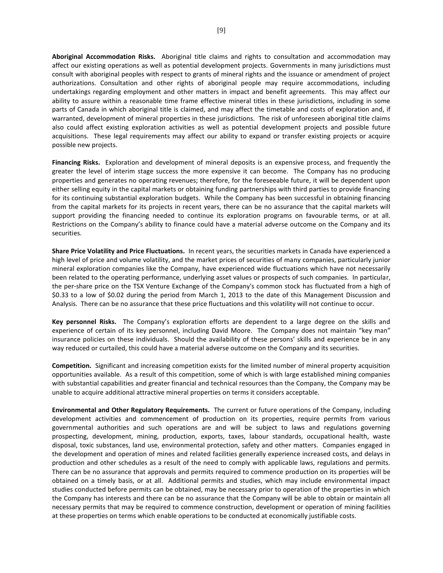**Aboriginal Accommodation Risks.** Aboriginal title claims and rights to consultation and accommodation may affect our existing operations as well as potential development projects. Governments in many jurisdictions must consult with aboriginal peoples with respect to grants of mineral rights and the issuance or amendment of project authorizations. Consultation and other rights of aboriginal people may require accommodations, including undertakings regarding employment and other matters in impact and benefit agreements. This may affect our ability to assure within a reasonable time frame effective mineral titles in these jurisdictions, including in some parts of Canada in which aboriginal title is claimed, and may affect the timetable and costs of exploration and, if warranted, development of mineral properties in these jurisdictions. The risk of unforeseen aboriginal title claims also could affect existing exploration activities as well as potential development projects and possible future acquisitions. These legal requirements may affect our ability to expand or transfer existing projects or acquire possible new projects.

**Financing Risks.** Exploration and development of mineral deposits is an expensive process, and frequently the greater the level of interim stage success the more expensive it can become. The Company has no producing properties and generates no operating revenues; therefore, for the foreseeable future, it will be dependent upon either selling equity in the capital markets or obtaining funding partnerships with third parties to provide financing for its continuing substantial exploration budgets. While the Company has been successful in obtaining financing from the capital markets for its projects in recent years, there can be no assurance that the capital markets will support providing the financing needed to continue its exploration programs on favourable terms, or at all. Restrictions on the Company's ability to finance could have a material adverse outcome on the Company and its securities.

**Share Price Volatility and Price Fluctuations.** In recent years, the securities markets in Canada have experienced a high level of price and volume volatility, and the market prices of securities of many companies, particularly junior mineral exploration companies like the Company, have experienced wide fluctuations which have not necessarily been related to the operating performance, underlying asset values or prospects of such companies. In particular, the per-share price on the TSX Venture Exchange of the Company's common stock has fluctuated from a high of \$0.33 to a low of \$0.02 during the period from March 1, 2013 to the date of this Management Discussion and Analysis. There can be no assurance that these price fluctuations and this volatility will not continue to occur.

**Key personnel Risks.** The Company's exploration efforts are dependent to a large degree on the skills and experience of certain of its key personnel, including David Moore. The Company does not maintain "key man" insurance policies on these individuals. Should the availability of these persons' skills and experience be in any way reduced or curtailed, this could have a material adverse outcome on the Company and its securities.

**Competition.** Significant and increasing competition exists for the limited number of mineral property acquisition opportunities available. As a result of this competition, some of which is with large established mining companies with substantial capabilities and greater financial and technical resources than the Company, the Company may be unable to acquire additional attractive mineral properties on terms it considers acceptable.

**Environmental and Other Regulatory Requirements.** The current or future operations of the Company, including development activities and commencement of production on its properties, require permits from various governmental authorities and such operations are and will be subject to laws and regulations governing prospecting, development, mining, production, exports, taxes, labour standards, occupational health, waste disposal, toxic substances, land use, environmental protection, safety and other matters. Companies engaged in the development and operation of mines and related facilities generally experience increased costs, and delays in production and other schedules as a result of the need to comply with applicable laws, regulations and permits. There can be no assurance that approvals and permits required to commence production on its properties will be obtained on a timely basis, or at all. Additional permits and studies, which may include environmental impact studies conducted before permits can be obtained, may be necessary prior to operation of the properties in which the Company has interests and there can be no assurance that the Company will be able to obtain or maintain all necessary permits that may be required to commence construction, development or operation of mining facilities at these properties on terms which enable operations to be conducted at economically justifiable costs.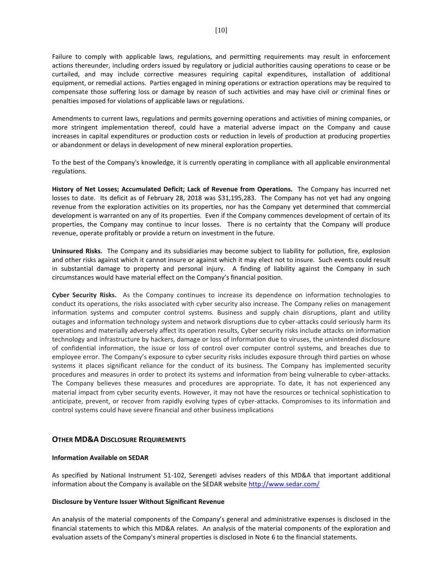Failure to comply with applicable laws, regulations, and permitting requirements may result in enforcement actions thereunder, including orders issued by regulatory or judicial authorities causing operations to cease or be curtailed, and may include corrective measures requiring capital expenditures, installation of additional equipment, or remedial actions. Parties engaged in mining operations or extraction operations may be required to compensate those suffering loss or damage by reason of such activities and may have civil or criminal fines or penalties imposed for violations of applicable laws or regulations.

Amendments to current laws, regulations and permits governing operations and activities of mining companies, or more stringent implementation thereof, could have a material adverse impact on the Company and cause increases in capital expenditures or production costs or reduction in levels of production at producing properties or abandonment or delays in development of new mineral exploration properties.

To the best of the Company's knowledge, it is currently operating in compliance with all applicable environmental regulations.

**History of Net Losses; Accumulated Deficit; Lack of Revenue from Operations.** The Company has incurred net losses to date. Its deficit as of February 28, 2018 was \$31,195,283. The Company has not yet had any ongoing revenue from the exploration activities on its properties, nor has the Company yet determined that commercial development is warranted on any of its properties. Even if the Company commences development of certain of its properties, the Company may continue to incur losses. There is no certainty that the Company will produce revenue, operate profitably or provide a return on investment in the future.

**Uninsured Risks.** The Company and its subsidiaries may become subject to liability for pollution, fire, explosion and other risks against which it cannot insure or against which it may elect not to insure. Such events could result in substantial damage to property and personal injury. A finding of liability against the Company in such circumstances would have material effect on the Company's financial position.

**Cyber Security Risks.** As the Company continues to increase its dependence on information technologies to conduct its operations, the risks associated with cyber security also increase. The Company relies on management information systems and computer control systems. Business and supply chain disruptions, plant and utility outages and information technology system and network disruptions due to cyber-attacks could seriously harm its operations and materially adversely affect its operation results, Cyber security risks include attacks on information technology and infrastructure by hackers, damage or loss of information due to viruses, the unintended disclosure of confidential information, the issue or loss of control over computer control systems, and breaches due to employee error. The Company's exposure to cyber security risks includes exposure through third parties on whose systems it places significant reliance for the conduct of its business. The Company has implemented security procedures and measures in order to protect its systems and information from being vulnerable to cyber-attacks. The Company believes these measures and procedures are appropriate. To date, it has not experienced any material impact from cyber security events. However, it may not have the resources or technical sophistication to anticipate, prevent, or recover from rapidly evolving types of cyber-attacks. Compromises to its information and control systems could have severe financial and other business implications

# **OTHER MD&A DISCLOSURE REQUIREMENTS**

#### **Information Available on SEDAR**

As specified by National Instrument 51-102, Serengeti advises readers of this MD&A that important additional information about the Company is available on the SEDAR website <http://www.sedar.com/>

#### **Disclosure by Venture Issuer Without Significant Revenue**

An analysis of the material components of the Company's general and administrative expenses is disclosed in the financial statements to which this MD&A relates. An analysis of the material components of the exploration and evaluation assets of the Company's mineral properties is disclosed in Note 6 to the financial statements.